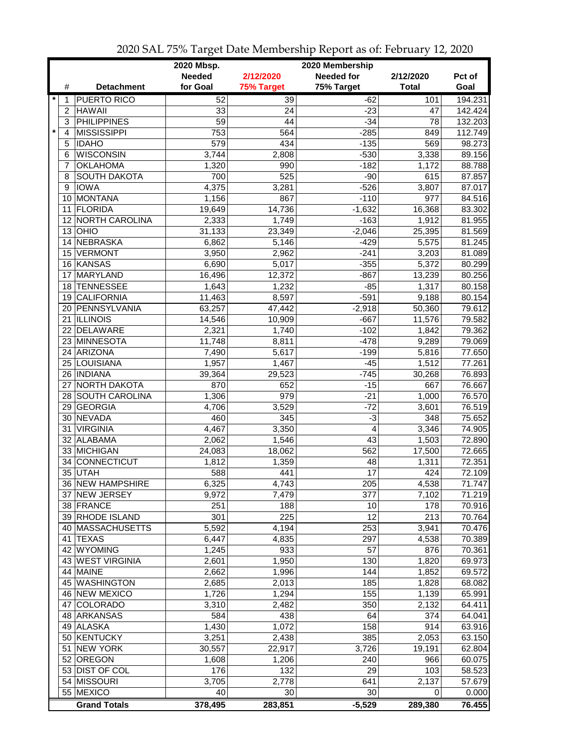|                           |                     | 2020 Mbsp.    |                 | 2020 Membership   |              |         |
|---------------------------|---------------------|---------------|-----------------|-------------------|--------------|---------|
|                           |                     | <b>Needed</b> | 2/12/2020       | <b>Needed for</b> | 2/12/2020    | Pct of  |
| #                         | <b>Detachment</b>   | for Goal      | 75% Target      | 75% Target        | <b>Total</b> | Goal    |
| $\star$<br>1              | <b>PUERTO RICO</b>  | 52            | 39              | $-62$             | 101          | 194.231 |
| 2                         | <b>HAWAII</b>       | 33            | 24              | $-23$             | 47           | 142.424 |
| 3                         | <b>PHILIPPINES</b>  | 59            | 44              | $-34$             | 78           | 132.203 |
| $\star$<br>$\overline{4}$ | <b>MISSISSIPPI</b>  | 753           | 564             | $-285$            | 849          | 112.749 |
| 5                         | <b>IDAHO</b>        | 579           | 434             | $-135$            | 569          | 98.273  |
| 6                         | <b>WISCONSIN</b>    | 3,744         | 2,808           | $-530$            | 3,338        | 89.156  |
| 7                         | <b>OKLAHOMA</b>     | 1,320         | 990             | $-182$            | 1,172        | 88.788  |
| 8                         | <b>SOUTH DAKOTA</b> | 700           | 525             | $-90$             | 615          | 87.857  |
| 9                         | <b>IOWA</b>         | 4,375         | 3,281           | $-526$            | 3,807        | 87.017  |
| 10                        | MONTANA             | 1,156         | 867             | $-110$            | 977          | 84.516  |
| 11                        | FLORIDA             | 19,649        | 14,736          | $-1,632$          | 16,368       | 83.302  |
|                           | 12 NORTH CAROLINA   | 2,333         | 1,749           | $-163$            | 1,912        | 81.955  |
|                           | $13$ OHIO           | 31,133        | 23,349          | $-2,046$          | 25,395       | 81.569  |
|                           | 14 NEBRASKA         | 6,862         | 5,146           | $-429$            | 5,575        | 81.245  |
|                           | 15 VERMONT          | 3,950         | 2,962           | $-241$            | 3,203        | 81.089  |
|                           | 16 KANSAS           | 6,690         | 5,017           | $-355$            | 5,372        | 80.299  |
| 17                        | MARYLAND            | 16,496        | 12,372          | $-867$            | 13,239       | 80.256  |
|                           | 18 TENNESSEE        | 1,643         | 1,232           | $-85$             | 1,317        | 80.158  |
|                           | 19 CALIFORNIA       | 11,463        | 8,597           | $-591$            | 9,188        | 80.154  |
|                           | 20 PENNSYLVANIA     | 63,257        | 47,442          | $-2,918$          | 50,360       | 79.612  |
|                           | 21 ILLINOIS         | 14,546        | 10,909          | $-667$            | 11,576       | 79.582  |
|                           | 22 DELAWARE         | 2,321         | 1,740           | $-102$            | 1,842        | 79.362  |
| 23                        | MINNESOTA           | 11,748        | 8,811           | $-478$            | 9,289        | 79.069  |
|                           | 24 ARIZONA          | 7,490         | 5,617           | $-199$            | 5,816        | 77.650  |
|                           | 25 LOUISIANA        | 1,957         | 1,467           | $-45$             | 1,512        | 77.261  |
|                           | 26   INDIANA        | 39,364        | 29,523          | $-745$            | 30,268       | 76.893  |
| 27                        | <b>NORTH DAKOTA</b> | 870           | 652             | $-15$             | 667          | 76.667  |
|                           | 28 SOUTH CAROLINA   | 1,306         | 979             | $-21$             | 1,000        | 76.570  |
|                           | 29 GEORGIA          | 4,706         | 3,529           | $-72$             | 3,601        | 76.519  |
|                           | 30 NEVADA           | 460           | 345             | $-3$              | 348          | 75.652  |
|                           | 31 VIRGINIA         | 4,467         | 3,350           | 4                 | 3,346        | 74.905  |
|                           | 32 ALABAMA          | 2,062         | 1,546           | 43                | 1,503        | 72.890  |
|                           | 33 MICHIGAN         | 24,083        | 18,062          | 562               | 17,500       | 72.665  |
| 34                        | <b>CONNECTICUT</b>  | 1,812         | 1,359           | 48                | 1,311        | 72.351  |
|                           | 35 UTAH             | 588           | 441             | 17                | 424          | 72.109  |
|                           | 36 NEW HAMPSHIRE    | 6,325         | 4,743           | 205               | 4,538        | 71.747  |
|                           | 37 NEW JERSEY       | 9,972         | 7,479           | 377               | 7,102        | 71.219  |
|                           | 38 FRANCE           | 251           | 188             | 10                | 178          | 70.916  |
|                           | 39 RHODE ISLAND     | 301           | 225             | 12                | 213          | 70.764  |
|                           | 40 MASSACHUSETTS    | 5,592         | 4,194           | 253               | 3,941        | 70.476  |
|                           | 41 TEXAS            | 6,447         | 4,835           | 297               | 4,538        | 70.389  |
| 42                        | <b>WYOMING</b>      | 1,245         | 933             | 57                | 876          | 70.361  |
|                           | 43 WEST VIRGINIA    | 2,601         | 1,950           | 130               | 1,820        | 69.973  |
|                           | 44 MAINE            | 2,662         | 1,996           | 144               | 1,852        | 69.572  |
|                           | 45 WASHINGTON       | 2,685         | 2,013           | 185               | 1,828        | 68.082  |
|                           | 46 NEW MEXICO       | 1,726         | 1,294           | 155               | 1,139        | 65.991  |
|                           | 47 COLORADO         | 3,310         | 2,482           | 350               | 2,132        | 64.411  |
|                           | 48 ARKANSAS         | 584           | 438             | 64                | 374          | 64.041  |
|                           | 49 ALASKA           | 1,430         | 1,072           | 158               | 914          | 63.916  |
|                           | 50 KENTUCKY         | 3,251         | 2,438           | 385               | 2,053        | 63.150  |
|                           | 51 NEW YORK         | 30,557        | 22,917          | 3,726             | 19,191       | 62.804  |
|                           | 52 OREGON           | 1,608         | 1,206           | 240               | 966          | 60.075  |
|                           | 53 DIST OF COL      | 176           | 132             | 29                | 103          | 58.523  |
|                           | 54 MISSOURI         | 3,705         | 2,778           | 641               | 2,137        | 57.679  |
|                           | 55 MEXICO           | 40            | 30 <sup>°</sup> | 30                | 0            | 0.000   |
|                           | <b>Grand Totals</b> | 378,495       | 283,851         | $-5,529$          | 289,380      | 76.455  |

2020 SAL 75% Target Date Membership Report as of: February 12, 2020